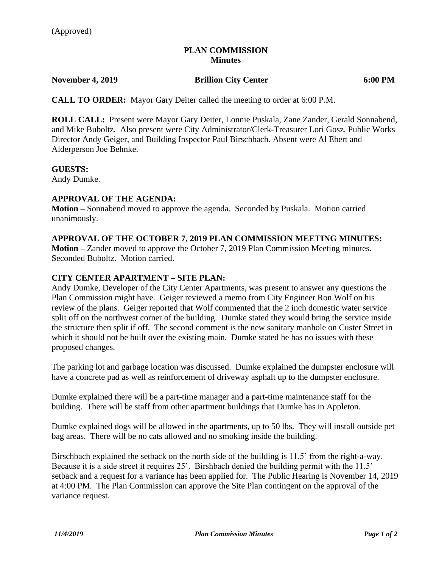#### **PLAN COMMISSION Minutes**

## **November 4, 2019 Brillion City Center 6:00 PM**

**CALL TO ORDER:** Mayor Gary Deiter called the meeting to order at 6:00 P.M.

**ROLL CALL:** Present were Mayor Gary Deiter, Lonnie Puskala, Zane Zander, Gerald Sonnabend, and Mike Buboltz. Also present were City Administrator/Clerk-Treasurer Lori Gosz, Public Works Director Andy Geiger, and Building Inspector Paul Birschbach. Absent were Al Ebert and Alderperson Joe Behnke.

#### **GUESTS:**

Andy Dumke.

#### **APPROVAL OF THE AGENDA:**

**Motion –** Sonnabend moved to approve the agenda. Seconded by Puskala. Motion carried unanimously.

#### **APPROVAL OF THE OCTOBER 7, 2019 PLAN COMMISSION MEETING MINUTES:**

**Motion –** Zander moved to approve the October 7, 2019 Plan Commission Meeting minutes. Seconded Buboltz. Motion carried.

#### **CITY CENTER APARTMENT – SITE PLAN:**

Andy Dumke, Developer of the City Center Apartments, was present to answer any questions the Plan Commission might have. Geiger reviewed a memo from City Engineer Ron Wolf on his review of the plans. Geiger reported that Wolf commented that the 2 inch domestic water service split off on the northwest corner of the building. Dumke stated they would bring the service inside the structure then split if off. The second comment is the new sanitary manhole on Custer Street in which it should not be built over the existing main. Dumke stated he has no issues with these proposed changes.

The parking lot and garbage location was discussed. Dumke explained the dumpster enclosure will have a concrete pad as well as reinforcement of driveway asphalt up to the dumpster enclosure.

Dumke explained there will be a part-time manager and a part-time maintenance staff for the building. There will be staff from other apartment buildings that Dumke has in Appleton.

Dumke explained dogs will be allowed in the apartments, up to 50 lbs. They will install outside pet bag areas. There will be no cats allowed and no smoking inside the building.

Birschbach explained the setback on the north side of the building is 11.5' from the right-a-way. Because it is a side street it requires 25'. Birshbach denied the building permit with the 11.5' setback and a request for a variance has been applied for. The Public Hearing is November 14, 2019 at 4:00 PM. The Plan Commission can approve the Site Plan contingent on the approval of the variance request.